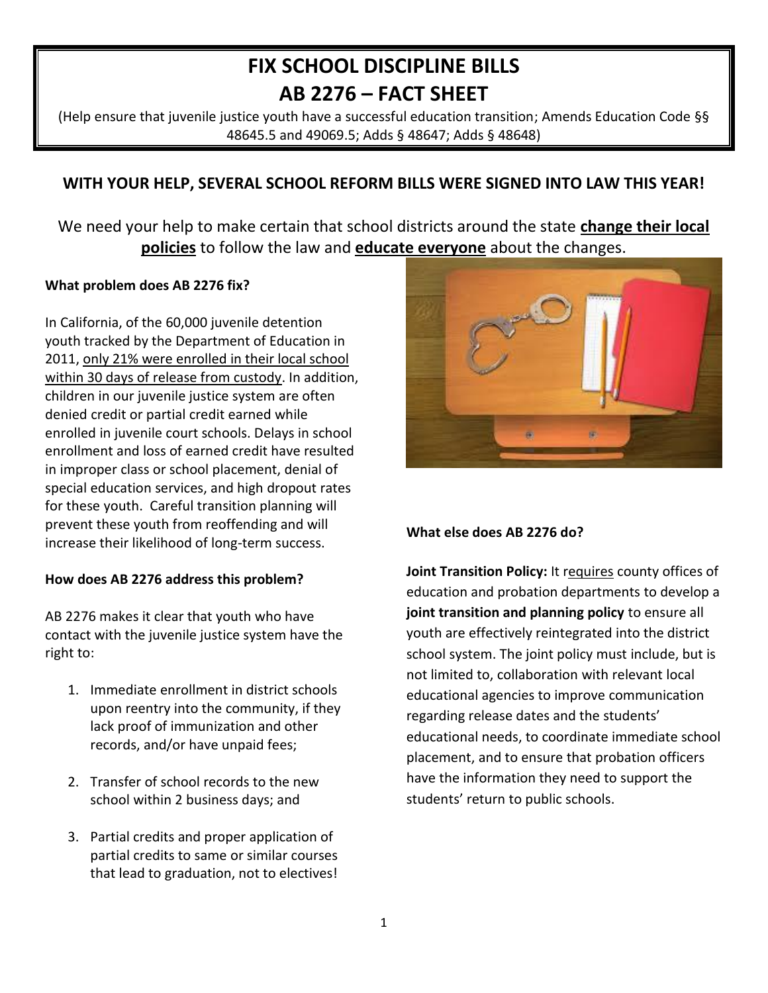# **FIX SCHOOL DISCIPLINE BILLS AB 2276 – FACT SHEET**

(Help ensure that juvenile justice youth have a successful education transition; Amends Education Code §§ 48645.5 and 49069.5; Adds § 48647; Adds § 48648)

# **WITH YOUR HELP, SEVERAL SCHOOL REFORM BILLS WERE SIGNED INTO LAW THIS YEAR!**

We need your help to make certain that school districts around the state **change their local policies** to follow the law and **educate everyone** about the changes.

# **What problem does AB 2276 fix?**

In California, of the 60,000 juvenile detention youth tracked by the Department of Education in 2011, only 21% were enrolled in their local school within 30 days of release from custody. In addition, children in our juvenile justice system are often denied credit or partial credit earned while enrolled in juvenile court schools. Delays in school enrollment and loss of earned credit have resulted in improper class or school placement, denial of special education services, and high dropout rates for these youth. Careful transition planning will prevent these youth from reoffending and will increase their likelihood of long-term success.

# **How does AB 2276 address this problem?**

AB 2276 makes it clear that youth who have contact with the juvenile justice system have the right to:

- 1. Immediate enrollment in district schools upon reentry into the community, if they lack proof of immunization and other records, and/or have unpaid fees;
- 2. Transfer of school records to the new school within 2 business days; and
- 3. Partial credits and proper application of partial credits to same or similar courses that lead to graduation, not to electives!



# **What else does AB 2276 do?**

Joint Transition Policy: It requires county offices of education and probation departments to develop a **joint transition and planning policy** to ensure all youth are effectively reintegrated into the district school system. The joint policy must include, but is not limited to, collaboration with relevant local educational agencies to improve communication regarding release dates and the students' educational needs, to coordinate immediate school placement, and to ensure that probation officers have the information they need to support the students' return to public schools.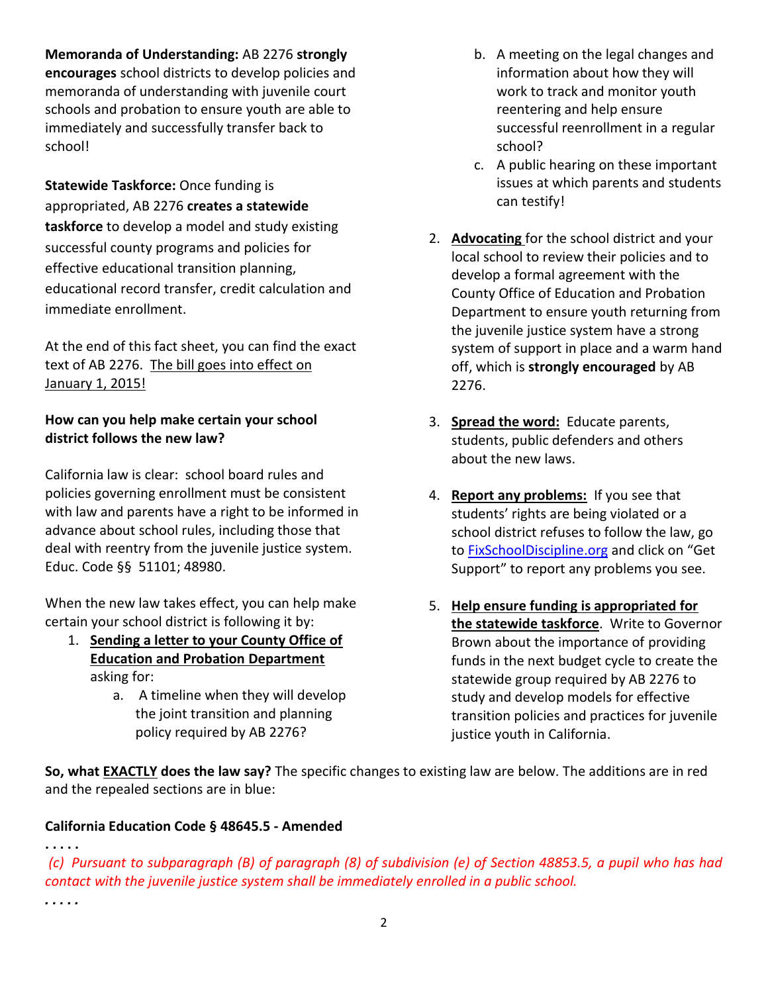**Memoranda of Understanding:** AB 2276 **strongly** 

**encourages** school districts to develop policies and memoranda of understanding with juvenile court schools and probation to ensure youth are able to immediately and successfully transfer back to school!

**Statewide Taskforce:** Once funding is appropriated, AB 2276 **creates a statewide taskforce** to develop a model and study existing successful county programs and policies for effective educational transition planning, educational record transfer, credit calculation and immediate enrollment.

At the end of this fact sheet, you can find the exact text of AB 2276. The bill goes into effect on January 1, 2015!

## **How can you help make certain your school district follows the new law?**

California law is clear: school board rules and policies governing enrollment must be consistent with law and parents have a right to be informed in advance about school rules, including those that deal with reentry from the juvenile justice system. Educ. Code §§ 51101; 48980.

When the new law takes effect, you can help make certain your school district is following it by:

- 1. **Sending a letter to your County Office of Education and Probation Department** asking for:
	- a. A timeline when they will develop the joint transition and planning policy required by AB 2276?
- b. A meeting on the legal changes and information about how they will work to track and monitor youth reentering and help ensure successful reenrollment in a regular school?
- c. A public hearing on these important issues at which parents and students can testify!
- 2. **Advocating** for the school district and your local school to review their policies and to develop a formal agreement with the County Office of Education and Probation Department to ensure youth returning from the juvenile justice system have a strong system of support in place and a warm hand off, which is **strongly encouraged** by AB 2276.
- 3. **Spread the word:** Educate parents, students, public defenders and others about the new laws.
- 4. **Report any problems:** If you see that students' rights are being violated or a school district refuses to follow the law, go to [FixSchoolDiscipline.org](http://www.fixschooldiscipline.org/) and click on "Get Support" to report any problems you see.
- 5. **Help ensure funding is appropriated for the statewide taskforce**. Write to Governor Brown about the importance of providing funds in the next budget cycle to create the statewide group required by AB 2276 to study and develop models for effective transition policies and practices for juvenile justice youth in California.

**So, what EXACTLY does the law say?** The specific changes to existing law are below. The additions are in red and the repealed sections are in blue:

# **California Education Code § 48645.5 - Amended**

**. . . . .**

(c) Pursuant to subparagraph (B) of paragraph (8) of subdivision (e) of Section 48853.5, a pupil who has had *contact with the juvenile justice system shall be immediately enrolled in a public school.*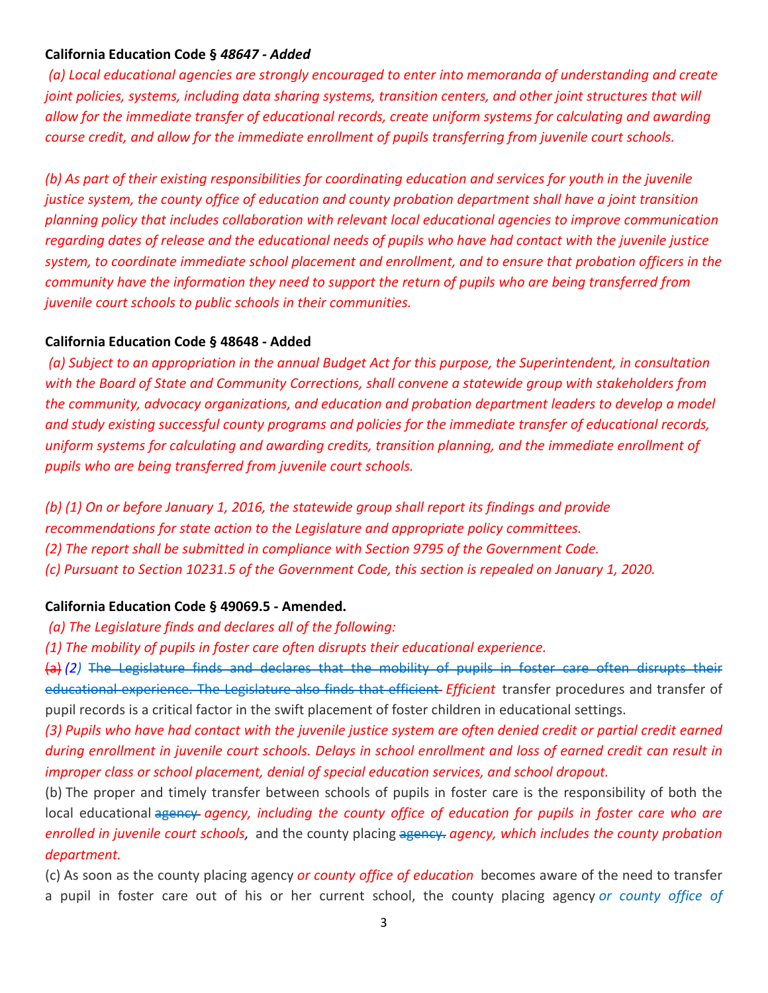### **California Education Code §** *48647 - Added*

*(a) Local educational agencies are strongly encouraged to enter into memoranda of understanding and create joint policies, systems, including data sharing systems, transition centers, and other joint structures that will allow for the immediate transfer of educational records, create uniform systems for calculating and awarding course credit, and allow for the immediate enrollment of pupils transferring from juvenile court schools.*

(b) As part of their existing responsibilities for coordinating education and services for youth in the juvenile *justice system, the county office of education and county probation department shall have a joint transition planning policy that includes collaboration with relevant local educational agencies to improve communication* regarding dates of release and the educational needs of pupils who have had contact with the juvenile justice *system, to coordinate immediate school placement and enrollment, and to ensure that probation officers in the community have the information they need to support the return of pupils who are being transferred from juvenile court schools to public schools in their communities.*

#### **California Education Code § 48648 - Added**

(a) Subject to an appropriation in the annual Budget Act for this purpose, the Superintendent, in consultation *with the Board of State and Community Corrections, shall convene a statewide group with stakeholders from the community, advocacy organizations, and education and probation department leaders to develop a model and study existing successful county programs and policies for the immediate transfer of educational records, uniform systems for calculating and awarding credits, transition planning, and the immediate enrollment of pupils who are being transferred from juvenile court schools.*

*(b) (1) On or before January 1, 2016, the statewide group shall report its findings and provide*

- *recommendations for state action to the Legislature and appropriate policy committees.*
- *(2) The report shall be submitted in compliance with Section 9795 of the Government Code.*
- *(c) Pursuant to Section 10231.5 of the Government Code, this section is repealed on January 1, 2020.*

#### **California Education Code § 49069.5 - Amended.**

- *(a) The Legislature finds and declares all of the following:*
- *(1) The mobility of pupils in foster care often disrupts their educational experience.*

(a) *(2)* The Legislature finds and declares that the mobility of pupils in foster care often disrupts their educational experience. The Legislature also finds that efficient *Efficient* transfer procedures and transfer of pupil records is a critical factor in the swift placement of foster children in educational settings.

(3) Pupils who have had contact with the juvenile justice system are often denied credit or partial credit earned during enrollment in juvenile court schools. Delays in school enrollment and loss of earned credit can result in *improper class or school placement, denial of special education services, and school dropout.*

(b) The proper and timely transfer between schools of pupils in foster care is the responsibility of both the local educational agency *agency, including the county office of education for pupils in foster care who are enrolled in juvenile court schools,* and the county placing agency. *agency, which includes the county probation department.*

(c) As soon as the county placing agency *or county office of education* becomes aware of the need to transfer a pupil in foster care out of his or her current school, the county placing agency *or county office of*